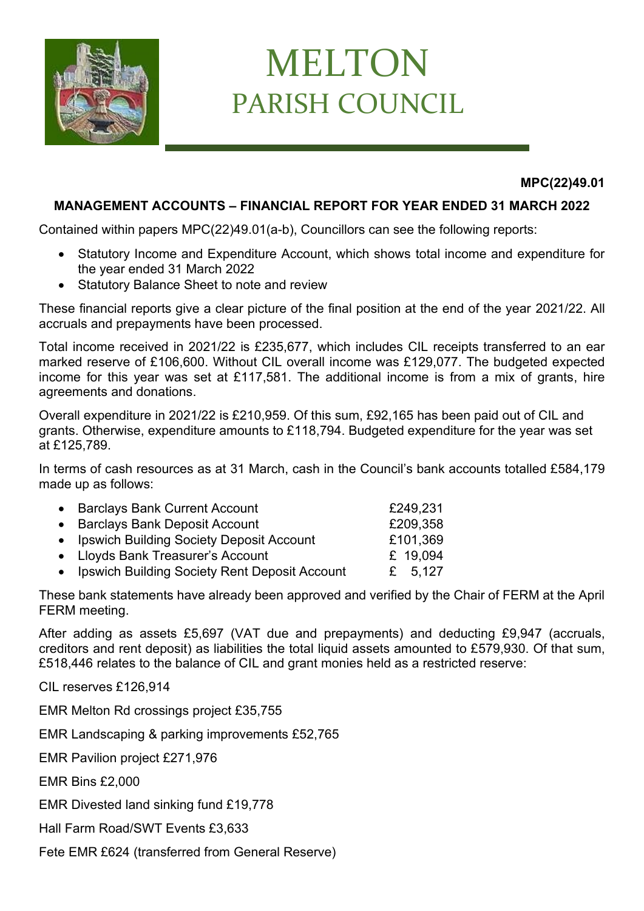

## MELTON PARISH COUNCIL

**MPC(22)49.01**

## **MANAGEMENT ACCOUNTS – FINANCIAL REPORT FOR YEAR ENDED 31 MARCH 2022**

Contained within papers MPC(22)49.01(a-b), Councillors can see the following reports:

- Statutory Income and Expenditure Account, which shows total income and expenditure for the year ended 31 March 2022
- Statutory Balance Sheet to note and review

These financial reports give a clear picture of the final position at the end of the year 2021/22. All accruals and prepayments have been processed.

Total income received in 2021/22 is £235,677, which includes CIL receipts transferred to an ear marked reserve of £106,600. Without CIL overall income was £129,077. The budgeted expected income for this year was set at £117,581. The additional income is from a mix of grants, hire agreements and donations.

Overall expenditure in 2021/22 is £210,959. Of this sum, £92,165 has been paid out of CIL and grants. Otherwise, expenditure amounts to £118,794. Budgeted expenditure for the year was set at £125,789.

In terms of cash resources as at 31 March, cash in the Council's bank accounts totalled £584,179 made up as follows:

| • Barclays Bank Current Account                 | £249,231  |
|-------------------------------------------------|-----------|
| • Barclays Bank Deposit Account                 | £209,358  |
| • Ipswich Building Society Deposit Account      | £101,369  |
| • Lloyds Bank Treasurer's Account               | £ 19,094  |
| • Ipswich Building Society Rent Deposit Account | £ $5.127$ |

These bank statements have already been approved and verified by the Chair of FERM at the April FERM meeting.

After adding as assets £5,697 (VAT due and prepayments) and deducting £9,947 (accruals, creditors and rent deposit) as liabilities the total liquid assets amounted to £579,930. Of that sum, £518,446 relates to the balance of CIL and grant monies held as a restricted reserve:

CIL reserves £126,914

EMR Melton Rd crossings project £35,755

EMR Landscaping & parking improvements £52,765

EMR Pavilion project £271,976

EMR Bins £2,000

EMR Divested land sinking fund £19,778

Hall Farm Road/SWT Events £3,633

Fete EMR £624 (transferred from General Reserve)